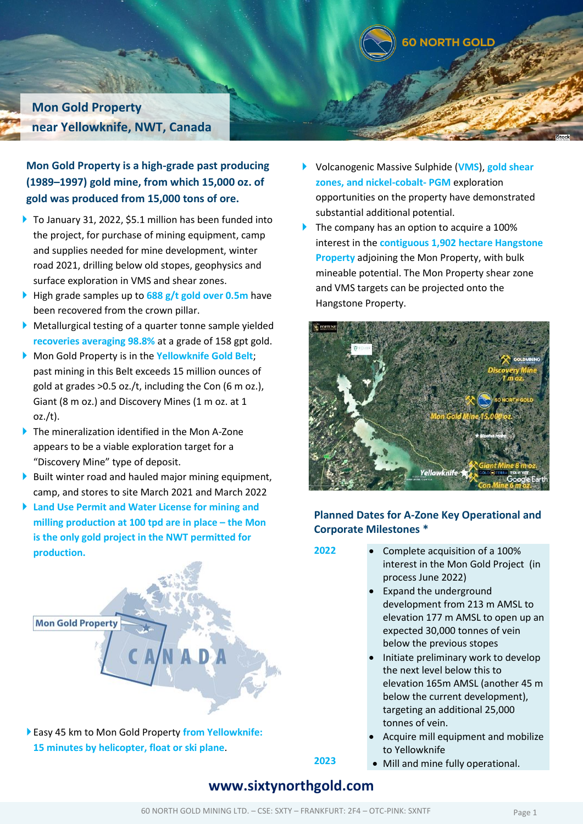

**Mon Gold Property near Yellowknife, NWT, Canada**

**Mon Gold Property is a high-grade past producing (1989–1997) gold mine, from which 15,000 oz. of gold was produced from 15,000 tons of ore.**

- ▶ To January 31, 2022, \$5.1 million has been funded into the project, for purchase of mining equipment, camp and supplies needed for mine development, winter road 2021, drilling below old stopes, geophysics and surface exploration in VMS and shear zones.
- High grade samples up to **688 g/t gold over 0.5m** have been recovered from the crown pillar.
- Metallurgical testing of a quarter tonne sample yielded **recoveries averaging 98.8%** at a grade of 158 gpt gold.
- Mon Gold Property is in the **Yellowknife Gold Belt**; past mining in this Belt exceeds 15 million ounces of gold at grades >0.5 oz./t, including the Con (6 m oz.), Giant (8 m oz.) and Discovery Mines (1 m oz. at 1 oz./t).
- ▶ The mineralization identified in the Mon A-Zone appears to be a viable exploration target for a "Discovery Mine" type of deposit.
- $\triangleright$  Built winter road and hauled major mining equipment, camp, and stores to site March 2021 and March 2022
- **Land Use Permit and Water License for mining and milling production at 100 tpd are in place – the Mon is the only gold project in the NWT permitted for production.**



Easy 45 km to Mon Gold Property **from Yellowknife: 15 minutes by helicopter, float or ski plane**.

- Volcanogenic Massive Sulphide (**VMS**), **gold shear zones, and nickel-cobalt- PGM** exploration opportunities on the property have demonstrated substantial additional potential.
- The company has an option to acquire a 100% interest in the **contiguous 1,902 hectare Hangstone Property** adjoining the Mon Property, with bulk mineable potential. The Mon Property shear zone and VMS targets can be projected onto the Hangstone Property.



### **Planned Dates for A-Zone Key Operational and Corporate Milestones \***

- **2022** Complete acquisition of a 100% interest in the Mon Gold Project (in process June 2022)
	- Expand the underground development from 213 m AMSL to elevation 177 m AMSL to open up an expected 30,000 tonnes of vein below the previous stopes
	- Initiate preliminary work to develop the next level below this to elevation 165m AMSL (another 45 m below the current development), targeting an additional 25,000 tonnes of vein.
	- Acquire mill equipment and mobilize to Yellowknife
	- Mill and mine fully operational.

# **www.sixtynorthgold.com**

**2023**